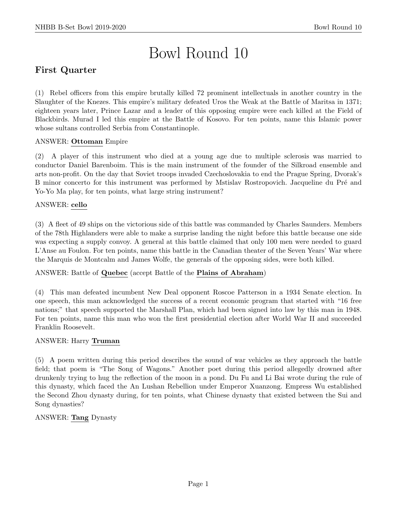# Bowl Round 10

# First Quarter

(1) Rebel officers from this empire brutally killed 72 prominent intellectuals in another country in the Slaughter of the Knezes. This empire's military defeated Uros the Weak at the Battle of Maritsa in 1371; eighteen years later, Prince Lazar and a leader of this opposing empire were each killed at the Field of Blackbirds. Murad I led this empire at the Battle of Kosovo. For ten points, name this Islamic power whose sultans controlled Serbia from Constantinople.

## ANSWER: Ottoman Empire

(2) A player of this instrument who died at a young age due to multiple sclerosis was married to conductor Daniel Barenboim. This is the main instrument of the founder of the Silkroad ensemble and arts non-profit. On the day that Soviet troops invaded Czechoslovakia to end the Prague Spring, Dvorak's B minor concerto for this instrument was performed by Mstislav Rostropovich. Jacqueline du Pré and Yo-Yo Ma play, for ten points, what large string instrument?

## ANSWER: cello

(3) A fleet of 49 ships on the victorious side of this battle was commanded by Charles Saunders. Members of the 78th Highlanders were able to make a surprise landing the night before this battle because one side was expecting a supply convoy. A general at this battle claimed that only 100 men were needed to guard L'Anse au Foulon. For ten points, name this battle in the Canadian theater of the Seven Years' War where the Marquis de Montcalm and James Wolfe, the generals of the opposing sides, were both killed.

ANSWER: Battle of Quebec (accept Battle of the Plains of Abraham)

(4) This man defeated incumbent New Deal opponent Roscoe Patterson in a 1934 Senate election. In one speech, this man acknowledged the success of a recent economic program that started with "16 free nations;" that speech supported the Marshall Plan, which had been signed into law by this man in 1948. For ten points, name this man who won the first presidential election after World War II and succeeded Franklin Roosevelt.

#### ANSWER: Harry Truman

(5) A poem written during this period describes the sound of war vehicles as they approach the battle field; that poem is "The Song of Wagons." Another poet during this period allegedly drowned after drunkenly trying to hug the reflection of the moon in a pond. Du Fu and Li Bai wrote during the rule of this dynasty, which faced the An Lushan Rebellion under Emperor Xuanzong. Empress Wu established the Second Zhou dynasty during, for ten points, what Chinese dynasty that existed between the Sui and Song dynasties?

#### ANSWER: Tang Dynasty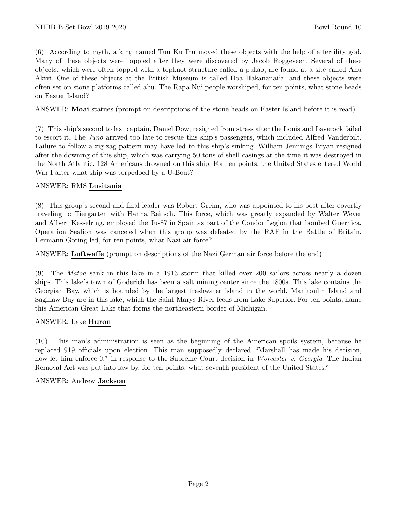(6) According to myth, a king named Tuu Ku Ihu moved these objects with the help of a fertility god. Many of these objects were toppled after they were discovered by Jacob Roggeveen. Several of these objects, which were often topped with a topknot structure called a pukao, are found at a site called Ahu Akivi. One of these objects at the British Museum is called Hoa Hakananai'a, and these objects were often set on stone platforms called ahu. The Rapa Nui people worshiped, for ten points, what stone heads on Easter Island?

ANSWER: Moai statues (prompt on descriptions of the stone heads on Easter Island before it is read)

(7) This ship's second to last captain, Daniel Dow, resigned from stress after the Louis and Laverock failed to escort it. The Juno arrived too late to rescue this ship's passengers, which included Alfred Vanderbilt. Failure to follow a zig-zag pattern may have led to this ship's sinking. William Jennings Bryan resigned after the downing of this ship, which was carrying 50 tons of shell casings at the time it was destroyed in the North Atlantic. 128 Americans drowned on this ship. For ten points, the United States entered World War I after what ship was torpedoed by a U-Boat?

#### ANSWER: RMS Lusitania

(8) This group's second and final leader was Robert Greim, who was appointed to his post after covertly traveling to Tiergarten with Hanna Reitsch. This force, which was greatly expanded by Walter Wever and Albert Kesselring, employed the Ju-87 in Spain as part of the Condor Legion that bombed Guernica. Operation Sealion was canceled when this group was defeated by the RAF in the Battle of Britain. Hermann Goring led, for ten points, what Nazi air force?

ANSWER: Luftwaffe (prompt on descriptions of the Nazi German air force before the end)

(9) The Matoa sank in this lake in a 1913 storm that killed over 200 sailors across nearly a dozen ships. This lake's town of Goderich has been a salt mining center since the 1800s. This lake contains the Georgian Bay, which is bounded by the largest freshwater island in the world. Manitoulin Island and Saginaw Bay are in this lake, which the Saint Marys River feeds from Lake Superior. For ten points, name this American Great Lake that forms the northeastern border of Michigan.

#### ANSWER: Lake Huron

(10) This man's administration is seen as the beginning of the American spoils system, because he replaced 919 officials upon election. This man supposedly declared "Marshall has made his decision, now let him enforce it" in response to the Supreme Court decision in Worcester v. Georgia. The Indian Removal Act was put into law by, for ten points, what seventh president of the United States?

#### ANSWER: Andrew Jackson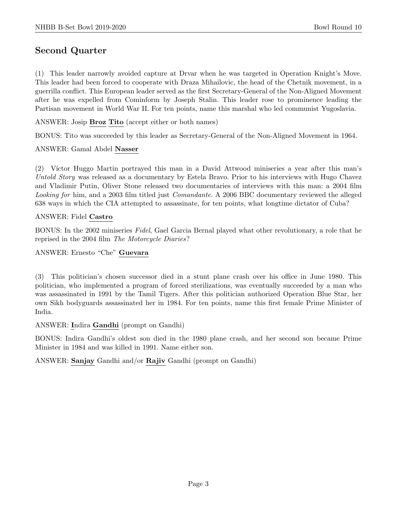# Second Quarter

(1) This leader narrowly avoided capture at Drvar when he was targeted in Operation Knight's Move. This leader had been forced to cooperate with Draza Mihailovic, the head of the Chetnik movement, in a guerrilla conflict. This European leader served as the first Secretary-General of the Non-Aligned Movement after he was expelled from Cominform by Joseph Stalin. This leader rose to prominence leading the Partisan movement in World War II. For ten points, name this marshal who led communist Yugoslavia.

ANSWER: Josip Broz Tito (accept either or both names)

BONUS: Tito was succeeded by this leader as Secretary-General of the Non-Aligned Movement in 1964.

ANSWER: Gamal Abdel Nasser

(2) V´ıctor Huggo Martin portrayed this man in a David Attwood miniseries a year after this man's Untold Story was released as a documentary by Estela Bravo. Prior to his interviews with Hugo Chavez and Vladimir Putin, Oliver Stone released two documentaries of interviews with this man: a 2004 film Looking for him, and a 2003 film titled just *Comandante*. A 2006 BBC documentary reviewed the alleged 638 ways in which the CIA attempted to assassinate, for ten points, what longtime dictator of Cuba?

#### ANSWER: Fidel Castro

BONUS: In the 2002 miniseries Fidel, Gael Garcia Bernal played what other revolutionary, a role that he reprised in the 2004 film The Motorcycle Diaries?

ANSWER: Ernesto "Che" Guevara

(3) This politician's chosen successor died in a stunt plane crash over his office in June 1980. This politician, who implemented a program of forced sterilizations, was eventually succeeded by a man who was assassinated in 1991 by the Tamil Tigers. After this politician authorized Operation Blue Star, her own Sikh bodyguards assassinated her in 1984. For ten points, name this first female Prime Minister of India.

ANSWER: Indira Gandhi (prompt on Gandhi)

BONUS: Indira Gandhi's oldest son died in the 1980 plane crash, and her second son became Prime Minister in 1984 and was killed in 1991. Name either son.

ANSWER: Sanjay Gandhi and/or Rajiv Gandhi (prompt on Gandhi)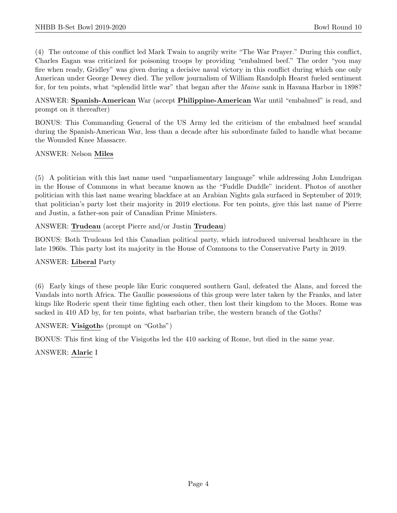(4) The outcome of this conflict led Mark Twain to angrily write "The War Prayer." During this conflict, Charles Eagan was criticized for poisoning troops by providing "embalmed beef." The order "you may fire when ready, Gridley" was given during a decisive naval victory in this conflict during which one only American under George Dewey died. The yellow journalism of William Randolph Hearst fueled sentiment for, for ten points, what "splendid little war" that began after the Maine sank in Havana Harbor in 1898?

ANSWER: Spanish-American War (accept Philippine-American War until "embalmed" is read, and prompt on it thereafter)

BONUS: This Commanding General of the US Army led the criticism of the embalmed beef scandal during the Spanish-American War, less than a decade after his subordinate failed to handle what became the Wounded Knee Massacre.

ANSWER: Nelson Miles

(5) A politician with this last name used "unparliamentary language" while addressing John Lundrigan in the House of Commons in what became known as the "Fuddle Duddle" incident. Photos of another politician with this last name wearing blackface at an Arabian Nights gala surfaced in September of 2019; that politician's party lost their majority in 2019 elections. For ten points, give this last name of Pierre and Justin, a father-son pair of Canadian Prime Ministers.

ANSWER: Trudeau (accept Pierre and/or Justin Trudeau)

BONUS: Both Trudeaus led this Canadian political party, which introduced universal healthcare in the late 1960s. This party lost its majority in the House of Commons to the Conservative Party in 2019.

#### ANSWER: Liberal Party

(6) Early kings of these people like Euric conquered southern Gaul, defeated the Alans, and forced the Vandals into north Africa. The Gaullic possessions of this group were later taken by the Franks, and later kings like Roderic spent their time fighting each other, then lost their kingdom to the Moors. Rome was sacked in 410 AD by, for ten points, what barbarian tribe, the western branch of the Goths?

ANSWER: Visigoths (prompt on "Goths")

BONUS: This first king of the Visigoths led the 410 sacking of Rome, but died in the same year.

ANSWER: Alaric I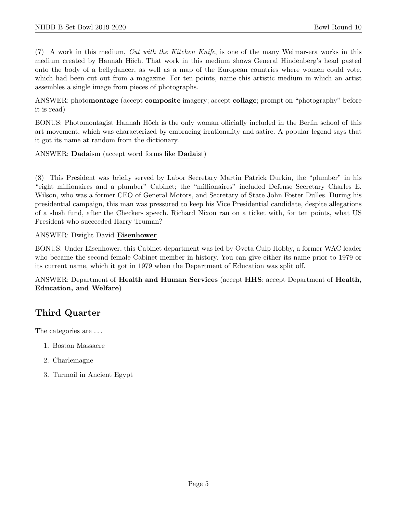$(7)$  A work in this medium, Cut with the Kitchen Knife, is one of the many Weimar-era works in this medium created by Hannah Höch. That work in this medium shows General Hindenberg's head pasted onto the body of a bellydancer, as well as a map of the European countries where women could vote, which had been cut out from a magazine. For ten points, name this artistic medium in which an artist assembles a single image from pieces of photographs.

ANSWER: photomontage (accept composite imagery; accept collage; prompt on "photography" before it is read)

BONUS: Photomontagist Hannah Höch is the only woman officially included in the Berlin school of this art movement, which was characterized by embracing irrationality and satire. A popular legend says that it got its name at random from the dictionary.

ANSWER: Dadaism (accept word forms like Dadaist)

(8) This President was briefly served by Labor Secretary Martin Patrick Durkin, the "plumber" in his "eight millionaires and a plumber" Cabinet; the "millionaires" included Defense Secretary Charles E. Wilson, who was a former CEO of General Motors, and Secretary of State John Foster Dulles. During his presidential campaign, this man was pressured to keep his Vice Presidential candidate, despite allegations of a slush fund, after the Checkers speech. Richard Nixon ran on a ticket with, for ten points, what US President who succeeded Harry Truman?

ANSWER: Dwight David Eisenhower

BONUS: Under Eisenhower, this Cabinet department was led by Oveta Culp Hobby, a former WAC leader who became the second female Cabinet member in history. You can give either its name prior to 1979 or its current name, which it got in 1979 when the Department of Education was split off.

ANSWER: Department of Health and Human Services (accept HHS; accept Department of Health, Education, and Welfare)

# Third Quarter

The categories are ...

- 1. Boston Massacre
- 2. Charlemagne
- 3. Turmoil in Ancient Egypt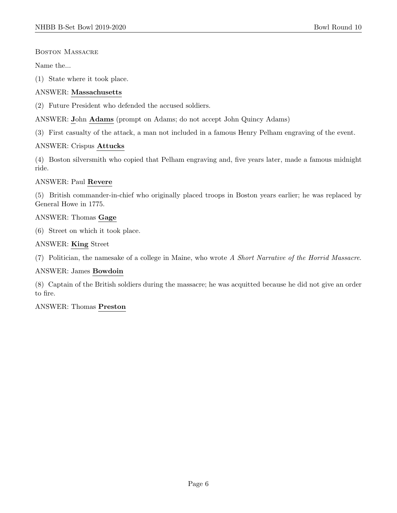#### Boston Massacre

Name the...

(1) State where it took place.

#### ANSWER: Massachusetts

(2) Future President who defended the accused soldiers.

ANSWER: John Adams (prompt on Adams; do not accept John Quincy Adams)

(3) First casualty of the attack, a man not included in a famous Henry Pelham engraving of the event.

#### ANSWER: Crispus Attucks

(4) Boston silversmith who copied that Pelham engraving and, five years later, made a famous midnight ride.

#### ANSWER: Paul Revere

(5) British commander-in-chief who originally placed troops in Boston years earlier; he was replaced by General Howe in 1775.

#### ANSWER: Thomas Gage

(6) Street on which it took place.

#### ANSWER: King Street

(7) Politician, the namesake of a college in Maine, who wrote A Short Narrative of the Horrid Massacre.

#### ANSWER: James Bowdoin

(8) Captain of the British soldiers during the massacre; he was acquitted because he did not give an order to fire.

#### ANSWER: Thomas Preston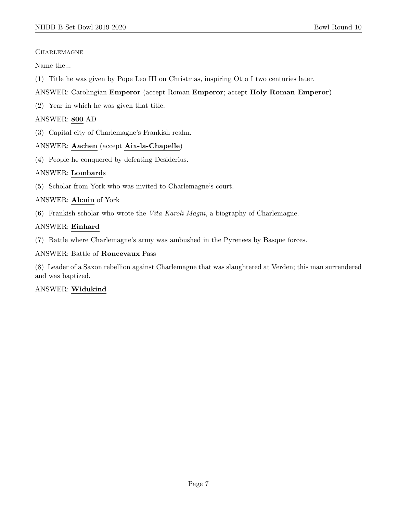## **CHARLEMAGNE**

Name the...

(1) Title he was given by Pope Leo III on Christmas, inspiring Otto I two centuries later.

## ANSWER: Carolingian Emperor (accept Roman Emperor; accept Holy Roman Emperor)

(2) Year in which he was given that title.

## ANSWER: 800 AD

(3) Capital city of Charlemagne's Frankish realm.

## ANSWER: Aachen (accept Aix-la-Chapelle)

(4) People he conquered by defeating Desiderius.

## ANSWER: Lombards

(5) Scholar from York who was invited to Charlemagne's court.

## ANSWER: Alcuin of York

(6) Frankish scholar who wrote the Vita Karoli Magni, a biography of Charlemagne.

## ANSWER: Einhard

(7) Battle where Charlemagne's army was ambushed in the Pyrenees by Basque forces.

## ANSWER: Battle of Roncevaux Pass

(8) Leader of a Saxon rebellion against Charlemagne that was slaughtered at Verden; this man surrendered and was baptized.

## ANSWER: Widukind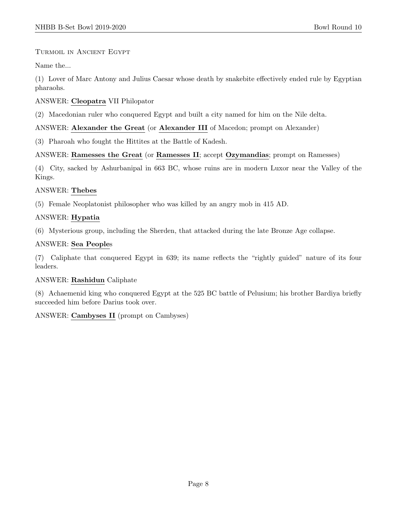## Turmoil in Ancient Egypt

Name the...

(1) Lover of Marc Antony and Julius Caesar whose death by snakebite effectively ended rule by Egyptian pharaohs.

## ANSWER: Cleopatra VII Philopator

(2) Macedonian ruler who conquered Egypt and built a city named for him on the Nile delta.

## ANSWER: Alexander the Great (or Alexander III of Macedon; prompt on Alexander)

(3) Pharoah who fought the Hittites at the Battle of Kadesh.

## ANSWER: Ramesses the Great (or Ramesses II; accept Ozymandias; prompt on Ramesses)

(4) City, sacked by Ashurbanipal in 663 BC, whose ruins are in modern Luxor near the Valley of the Kings.

## ANSWER: Thebes

(5) Female Neoplatonist philosopher who was killed by an angry mob in 415 AD.

## ANSWER: Hypatia

(6) Mysterious group, including the Sherden, that attacked during the late Bronze Age collapse.

## ANSWER: Sea Peoples

(7) Caliphate that conquered Egypt in 639; its name reflects the "rightly guided" nature of its four leaders.

## ANSWER: Rashidun Caliphate

(8) Achaemenid king who conquered Egypt at the 525 BC battle of Pelusium; his brother Bardiya briefly succeeded him before Darius took over.

ANSWER: Cambyses II (prompt on Cambyses)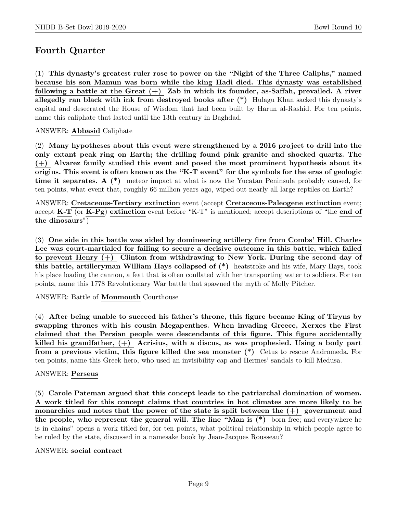# Fourth Quarter

(1) This dynasty's greatest ruler rose to power on the "Night of the Three Caliphs," named because his son Mamun was born while the king Hadi died. This dynasty was established following a battle at the Great  $(+)$  Zab in which its founder, as-Saffah, prevailed. A river allegedly ran black with ink from destroyed books after (\*) Hulagu Khan sacked this dynasty's capital and desecrated the House of Wisdom that had been built by Harun al-Rashid. For ten points, name this caliphate that lasted until the 13th century in Baghdad.

## ANSWER: Abbasid Caliphate

(2) Many hypotheses about this event were strengthened by a 2016 project to drill into the only extant peak ring on Earth; the drilling found pink granite and shocked quartz. The (+) Alvarez family studied this event and posed the most prominent hypothesis about its origins. This event is often known as the "K-T event" for the symbols for the eras of geologic time it separates. A  $(*)$  meteor impact at what is now the Yucatan Peninsula probably caused, for ten points, what event that, roughly 66 million years ago, wiped out nearly all large reptiles on Earth?

ANSWER: Cretaceous-Tertiary extinction event (accept Cretaceous-Paleogene extinction event; accept K-T (or K-Pg) extinction event before "K-T" is mentioned; accept descriptions of "the end of the dinosaurs")

(3) One side in this battle was aided by domineering artillery fire from Combs' Hill. Charles Lee was court-martialed for failing to secure a decisive outcome in this battle, which failed to prevent Henry (+) Clinton from withdrawing to New York. During the second day of this battle, artilleryman William Hays collapsed of (\*) heatstroke and his wife, Mary Hays, took his place loading the cannon, a feat that is often conflated with her transporting water to soldiers. For ten points, name this 1778 Revolutionary War battle that spawned the myth of Molly Pitcher.

ANSWER: Battle of Monmouth Courthouse

(4) After being unable to succeed his father's throne, this figure became King of Tiryns by swapping thrones with his cousin Megapenthes. When invading Greece, Xerxes the First claimed that the Persian people were descendants of this figure. This figure accidentally killed his grandfather,  $(+)$  Acrisius, with a discus, as was prophesied. Using a body part from a previous victim, this figure killed the sea monster (\*) Cetus to rescue Andromeda. For ten points, name this Greek hero, who used an invisibility cap and Hermes' sandals to kill Medusa.

## ANSWER: Perseus

(5) Carole Pateman argued that this concept leads to the patriarchal domination of women. A work titled for this concept claims that countries in hot climates are more likely to be monarchies and notes that the power of the state is split between the  $(+)$  government and the people, who represent the general will. The line "Man is (\*) born free; and everywhere he is in chains" opens a work titled for, for ten points, what political relationship in which people agree to be ruled by the state, discussed in a namesake book by Jean-Jacques Rousseau?

#### ANSWER: social contract